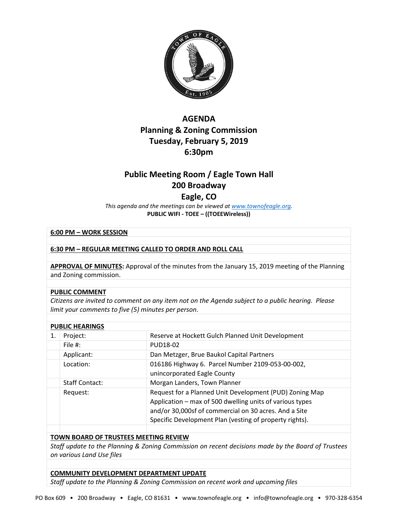

## **AGENDA Planning & Zoning Commission Tuesday, February 5, 2019 6:30pm**

# **Public Meeting Room / Eagle Town Hall 200 Broadway**

### **Eagle, CO**

*This agenda and the meetings can be viewed a[t www.townofeagle.org.](http://www.townofeagle.org/)*  **PUBLIC WIFI - TOEE – ((TOEEWireless))**

#### **6:00 PM – WORK SESSION**

#### **6:30 PM – REGULAR MEETING CALLED TO ORDER AND ROLL CALL**

**APPROVAL OF MINUTES:** Approval of the minutes from the January 15, 2019 meeting of the Planning and Zoning commission.

#### **PUBLIC COMMENT**

*Citizens are invited to comment on any item not on the Agenda subject to a public hearing. Please limit your comments to five (5) minutes per person*.

| <b>PUBLIC HEARINGS</b> |                       |                                                                                                                                                                                                                                         |
|------------------------|-----------------------|-----------------------------------------------------------------------------------------------------------------------------------------------------------------------------------------------------------------------------------------|
| 1.                     | Project:              | Reserve at Hockett Gulch Planned Unit Development                                                                                                                                                                                       |
|                        | File $#$ :            | PUD18-02                                                                                                                                                                                                                                |
|                        | Applicant:            | Dan Metzger, Brue Baukol Capital Partners                                                                                                                                                                                               |
|                        | Location:             | 016186 Highway 6. Parcel Number 2109-053-00-002,<br>unincorporated Eagle County                                                                                                                                                         |
|                        | <b>Staff Contact:</b> | Morgan Landers, Town Planner                                                                                                                                                                                                            |
|                        | Request:              | Request for a Planned Unit Development (PUD) Zoning Map<br>Application – max of 500 dwelling units of various types<br>and/or 30,000sf of commercial on 30 acres. And a Site<br>Specific Development Plan (vesting of property rights). |
|                        |                       |                                                                                                                                                                                                                                         |

#### **TOWN BOARD OF TRUSTEES MEETING REVIEW**

*Staff update to the Planning & Zoning Commission on recent decisions made by the Board of Trustees on various Land Use files*

#### **COMMUNITY DEVELOPMENT DEPARTMENT UPDATE**

*Staff update to the Planning & Zoning Commission on recent work and upcoming files*